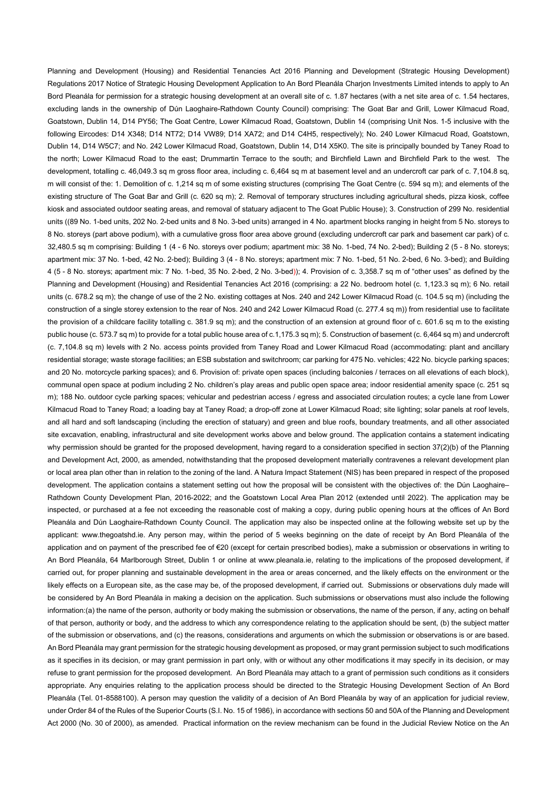Planning and Development (Housing) and Residential Tenancies Act 2016 Planning and Development (Strategic Housing Development) Regulations 2017 Notice of Strategic Housing Development Application to An Bord Pleanála Charjon Investments Limited intends to apply to An Bord Pleanála for permission for a strategic housing development at an overall site of c. 1.87 hectares (with a net site area of c. 1.54 hectares, excluding lands in the ownership of Dún Laoghaire-Rathdown County Council) comprising: The Goat Bar and Grill, Lower Kilmacud Road, Goatstown, Dublin 14, D14 PY56; The Goat Centre, Lower Kilmacud Road, Goatstown, Dublin 14 (comprising Unit Nos. 1-5 inclusive with the following Eircodes: D14 X348; D14 NT72; D14 VW89; D14 XA72; and D14 C4H5, respectively); No. 240 Lower Kilmacud Road, Goatstown, Dublin 14, D14 W5C7; and No. 242 Lower Kilmacud Road, Goatstown, Dublin 14, D14 X5K0. The site is principally bounded by Taney Road to the north; Lower Kilmacud Road to the east; Drummartin Terrace to the south; and Birchfield Lawn and Birchfield Park to the west. The development, totalling c. 46,049.3 sq m gross floor area, including c. 6,464 sq m at basement level and an undercroft car park of c. 7,104.8 sq, m will consist of the: 1. Demolition of c. 1,214 sq m of some existing structures (comprising The Goat Centre (c. 594 sq m); and elements of the existing structure of The Goat Bar and Grill (c. 620 sq m); 2. Removal of temporary structures including agricultural sheds, pizza kiosk, coffee kiosk and associated outdoor seating areas, and removal of statuary adjacent to The Goat Public House); 3. Construction of 299 No. residential units ((89 No. 1-bed units, 202 No. 2-bed units and 8 No. 3-bed units) arranged in 4 No. apartment blocks ranging in height from 5 No. storeys to 8 No. storeys (part above podium), with a cumulative gross floor area above ground (excluding undercroft car park and basement car park) of c. 32,480.5 sq m comprising: Building 1 (4 - 6 No. storeys over podium; apartment mix: 38 No. 1-bed, 74 No. 2-bed); Building 2 (5 - 8 No. storeys; apartment mix: 37 No. 1-bed, 42 No. 2-bed); Building 3 (4 - 8 No. storeys; apartment mix: 7 No. 1-bed, 51 No. 2-bed, 6 No. 3-bed); and Building 4 (5 - 8 No. storeys; apartment mix: 7 No. 1-bed, 35 No. 2-bed, 2 No. 3-bed)); 4. Provision of c. 3,358.7 sq m of "other uses" as defined by the Planning and Development (Housing) and Residential Tenancies Act 2016 (comprising: a 22 No. bedroom hotel (c. 1,123.3 sq m); 6 No. retail units (c. 678.2 sq m); the change of use of the 2 No. existing cottages at Nos. 240 and 242 Lower Kilmacud Road (c. 104.5 sq m) (including the construction of a single storey extension to the rear of Nos. 240 and 242 Lower Kilmacud Road (c. 277.4 sq m)) from residential use to facilitate the provision of a childcare facility totalling c. 381.9 sq m); and the construction of an extension at ground floor of c. 601.6 sq m to the existing public house (c. 573.7 sq m) to provide for a total public house area of c.1,175.3 sq m); 5. Construction of basement (c. 6,464 sq m) and undercroft (c. 7,104.8 sq m) levels with 2 No. access points provided from Taney Road and Lower Kilmacud Road (accommodating: plant and ancillary residential storage; waste storage facilities; an ESB substation and switchroom; car parking for 475 No. vehicles; 422 No. bicycle parking spaces; and 20 No. motorcycle parking spaces); and 6. Provision of: private open spaces (including balconies / terraces on all elevations of each block), communal open space at podium including 2 No. children's play areas and public open space area; indoor residential amenity space (c. 251 sq m); 188 No. outdoor cycle parking spaces; vehicular and pedestrian access / egress and associated circulation routes; a cycle lane from Lower Kilmacud Road to Taney Road; a loading bay at Taney Road; a drop-off zone at Lower Kilmacud Road; site lighting; solar panels at roof levels, and all hard and soft landscaping (including the erection of statuary) and green and blue roofs, boundary treatments, and all other associated site excavation, enabling, infrastructural and site development works above and below ground. The application contains a statement indicating why permission should be granted for the proposed development, having regard to a consideration specified in section 37(2)(b) of the Planning and Development Act, 2000, as amended, notwithstanding that the proposed development materially contravenes a relevant development plan or local area plan other than in relation to the zoning of the land. A Natura Impact Statement (NIS) has been prepared in respect of the proposed development. The application contains a statement setting out how the proposal will be consistent with the objectives of: the Dún Laoghaire– Rathdown County Development Plan, 2016-2022; and the Goatstown Local Area Plan 2012 (extended until 2022). The application may be inspected, or purchased at a fee not exceeding the reasonable cost of making a copy, during public opening hours at the offices of An Bord Pleanála and Dún Laoghaire-Rathdown County Council. The application may also be inspected online at the following website set up by the applicant: www.thegoatshd.ie. Any person may, within the period of 5 weeks beginning on the date of receipt by An Bord Pleanála of the application and on payment of the prescribed fee of €20 (except for certain prescribed bodies), make a submission or observations in writing to An Bord Pleanála, 64 Marlborough Street, Dublin 1 or online at www.pleanala.ie, relating to the implications of the proposed development, if carried out, for proper planning and sustainable development in the area or areas concerned, and the likely effects on the environment or the likely effects on a European site, as the case may be, of the proposed development, if carried out. Submissions or observations duly made will

be considered by An Bord Pleanála in making a decision on the application. Such submissions or observations must also include the following information:(a) the name of the person, authority or body making the submission or observations, the name of the person, if any, acting on behalf of that person, authority or body, and the address to which any correspondence relating to the application should be sent, (b) the subject matter of the submission or observations, and (c) the reasons, considerations and arguments on which the submission or observations is or are based. An Bord Pleanála may grant permission for the strategic housing development as proposed, or may grant permission subject to such modifications as it specifies in its decision, or may grant permission in part only, with or without any other modifications it may specify in its decision, or may refuse to grant permission for the proposed development. An Bord Pleanála may attach to a grant of permission such conditions as it considers appropriate. Any enquiries relating to the application process should be directed to the Strategic Housing Development Section of An Bord Pleanála (Tel. 01-8588100). A person may question the validity of a decision of An Bord Pleanála by way of an application for judicial review, under Order 84 of the Rules of the Superior Courts (S.I. No. 15 of 1986), in accordance with sections 50 and 50A of the Planning and Development Act 2000 (No. 30 of 2000), as amended. Practical information on the review mechanism can be found in the Judicial Review Notice on the An